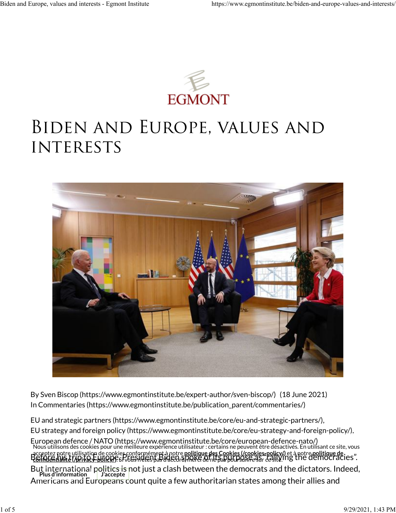

# Biden and Europe, values and **INTERESTS**



BySven Biscop (https://www.egmontinstitute.be/expert-author/sven-biscop/) (18 June 2021) In [Commentaries \(https://www.egmontinstitute.be/publication\\_parent/commentaries/\)](https://www.egmontinstitute.be/publication_parent/commentaries/)

[EU and strategic partners \(https://www.egmontinstitute.be/core/eu-and-strategic-partners/\),](https://www.egmontinstitute.be/core/eu-and-strategic-partners/) [EU strategy and foreign policy \(https://www.egmontinstitute.be/core/eu-strategy-and-foreign-policy/\),](https://www.egmontinstitute.be/core/eu-strategy-and-foreign-policy/)

[European defence / NATO \(https://www.egmontinstitute.be/core/european-defence-nato/\)](https://www.egmontinstitute.be/core/european-defence-nato/) Before hole unisation de cookies compilentements hole pointique hes cookies (cookies pointy) et a holle pointique de<br>Refinientlying typit a FUIRDP si voissident Budguard nord de ne sapulu outre así railly ing the [democraci](https://www.egmontinstitute.be/privacy-policy/) But international p<del>olitics is </del>not just a clash between the democrats and the dictators. Indeed, Americans and Eur<del>opeans c</del>ount quite a few authoritarian states among their allies and Nous utilisons des cookies pour une meilleure expérience utilisateur : certains ne peuvent être désactivés. En utilisant ce site, vous accepteznotre utilisation de cookies conformément à notre **politique des Cookies (/cookies, policy/)** et à notre . Si vous n'êtes pas d'accord, merci de ne pas poursuivre sur ce site. **Plus d'information J'accepte politique des Cookies (/cookies-policy/) [politique de](https://www.egmontinstitute.be/privacy-policy/) con�dentialité (/privacy-policy/)**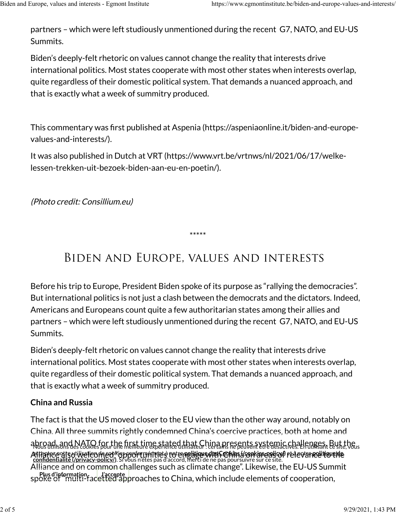partners – which were left studiously unmentioned during the recent G7, NATO, and EU-US Summits.

Biden's deeply-felt rhetoric on values cannot change the reality that interests drive international politics. Most states cooperate with most other states when interests overlap, quite regardless of their domestic political system. That demands a nuanced approach, and that is exactly what a week of summitry produced.

This commentary was �rst published [at Aspenia \(https://aspeniaonline.it/biden-and-europe-](https://aspeniaonline.it/biden-and-europe-values-and-interests/). [values-and-interests/\)](https://aspeniaonline.it/biden-and-europe-values-and-interests/)

It was also published in Dutch at [VRT \(https://www.vrt.be/vrtnws/nl/2021/06/17/welke-](https://www.vrt.be/vrtnws/nl/2021/06/17/welke-lessen-trekken-uit-bezoek-biden-aan-eu-en-poetin/). [lessen-trekken-uit-bezoek-biden-aan-eu-en-poetin/\)](https://www.vrt.be/vrtnws/nl/2021/06/17/welke-lessen-trekken-uit-bezoek-biden-aan-eu-en-poetin/)

(Photo credit: Consillium.eu)

\*\*\*\*\*

## Biden and Europe, values and interests

Before his trip to Europe, President Biden spoke of its purpose as "rallying the democracies". But international politics is not just a clash between the democrats and the dictators. Indeed, Americans and Europeans count quite a few authoritarian states among their allies and partners – which were left studiously unmentioned during the recent G7, NATO, and EU-US Summits.

Biden's deeply-felt rhetoric on values cannot change the reality that interests drive international politics. Most states cooperate with most other states when interests overlap, quite regardless of their domestic political system. That demands a nuanced approach, and that is exactly what a week of summitry produced.

### **China and Russia**

The fact is that the US moved closer to the EU view than the other way around, notably on China. All three summits rightly condemned China's coercive practices, both at home and abroad, and NATO for the first time stated that China presents systemic challenges. But the<br>Nous utilisons des cookies pour une memeure experience utilisateur : certains ne peuvent etre desactives. En u Alliante polisulivation frequence opportunities to empettion char Corina (conversed of relev[ance to the](https://www.egmontinstitute.be/privacy-policy/) fle Alliance and on common challenges such as climate change". Likewise, the EU-US Summit spoke of "multi-facetted approaches to China, which include elements of cooperation, **Plus d'information J'accepte** acteptezoctre utilisation de sopkies gonformément à notre <mark>nolitique des Cookies (/cookies policyc)</mark> et à notre . Si vous n'êtes pas d'accord, merci de ne pas poursuivre sur ce site. **politique des Cookies (/cookies-policy/) [politique de](https://www.egmontinstitute.be/privacy-policy/) con�dentialit[é \(/privacy-policy/\)](https://www.egmontinstitute.be/privacy-policy/)**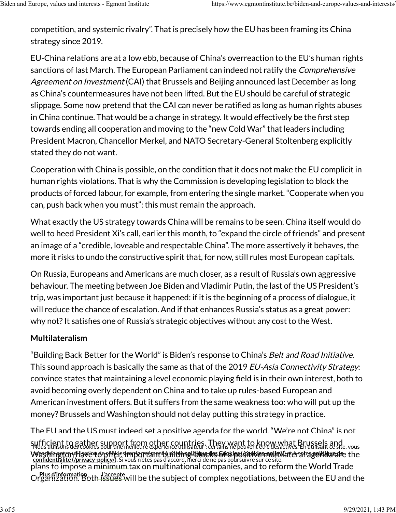competition, and systemic rivalry". That is precisely how the EU has been framing its China strategy since 2019.

EU-China relations are at a low ebb, because of China's overreaction to the EU's human rights sanctions of last March. The European Parliament can indeed not ratify the *Comprehensive* Agreement on Investment (CAI) that Brussels and Beijing announced last December as long as China's countermeasures have not been lifted. But the EU should be careful of strategic slippage. Some now pretend that the CAI can never be ratified as long as human rights abuses in China continue. That would be a change in strategy. It would effectively be the first step towards ending all cooperation and moving to the "new Cold War" that leaders including President Macron, Chancellor Merkel, and NATO Secretary-General Stoltenberg explicitly stated they do not want.

Cooperation with China is possible, on the condition that it does not make the EU complicit in human rights violations. That is why the Commission is developing legislation to block the products of forced labour, for example, from entering the single market. "Cooperate when you can, push back when you must": this must remain the approach.

What exactly the US strategy towards China will be remains to be seen. China itself would do well to heed President Xi's call, earlier this month, to "expand the circle of friends" and present an image of a "credible, loveable and respectable China". The more assertively it behaves, the more it risks to undo the constructive spirit that, for now, still rules most European capitals.

On Russia, Europeans and Americans are much closer, as a result of Russia's own aggressive behaviour. The meeting between Joe Biden and Vladimir Putin, the last of the US President's trip, was important just because it happened: if it is the beginning of a process of dialogue, it will reduce the chance of escalation. And if that enhances Russia's status as a great power: why not? It satisfies one of Russia's strategic objectives without any cost to the West.

### **Multilateralism**

"Building Back Better for the World" is Biden's response to China's *Belt and Road Initiative*. This sound approach is basically the same as that of the 2019 EU-Asia Connectivity Strategy: convince states that maintaining a level economic playing �eld is in their own interest, both to avoid becoming overly dependent on China and to take up rules-based European and American investment offers. But it suffers from the same weakness too: who will put up the money? Brussels and Washington should not delay putting this strategy in practice.

The EU and the US must indeed set a positive agenda for the world. "We're not China" is not suf�cient to gather support from other countries. They want to know what Brussels and Nous utilisons des cookies pour une meilleure expérience utilisateur : certains ne peuvent être désactivés. En utilisant ce site, vous Wasthington Have to offer is important building tile to sockied stanlen laid at era ragelitilated the plans to impose a minimum tax on multinational companies, and to reform the World Trade Organization. Both issues will be the subject of complex negotiations, between the EU and the **Plus d'information J'accepte** Adsecttez notre utilisation de spelies repriermément à notre n<u>o litique des Gookies (convies notevil</u>ationalise . Si vous n'êtes pas d'accord, merci de ne pas poursuivre sur ce site. **politique des Cookies (/cookies-policy/) politique de con�[dentialité \(/privacy-policy/\)](https://www.egmontinstitute.be/privacy-policy/)**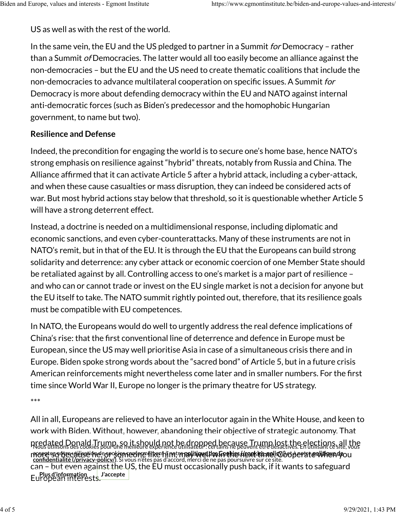US as well as with the rest of the world.

In the same vein, the EU and the US pledged to partner in a Summit *for* Democracy – rather than a Summit of Democracies. The latter would all too easily become an alliance against the non-democracies – but the EU and the US need to create thematic coalitions that include the non-democracies to advance multilateral cooperation on specific issues. A Summit for Democracy is more about defending democracy within the EU and NATO against internal anti-democratic forces (such as Biden's predecessor and the homophobic Hungarian government, to name but two).

#### **Resilience and Defense**

Indeed, the precondition for engaging the world is to secure one's home base, hence NATO's strong emphasis on resilience against "hybrid" threats, notably from Russia and China. The Alliance affirmed that it can activate Article 5 after a hybrid attack, including a cyber-attack, and when these cause casualties or mass disruption, they can indeed be considered acts of war. But most hybrid actions stay below that threshold, so it is questionable whether Article 5 will have a strong deterrent effect.

Instead, a doctrine is needed on a multidimensional response, including diplomatic and economic sanctions, and even cyber-counterattacks. Many of these instruments are not in NATO's remit, but in that of the EU. It is through the EU that the Europeans can build strong solidarity and deterrence: any cyber attack or economic coercion of one Member State should be retaliated against by all. Controlling access to one's market is a major part of resilience – and who can or cannot trade or invest on the EU single market is not a decision for anyone but the EU itself to take. The NATO summit rightly pointed out, therefore, that its resilience goals must be compatible with EU competences.

In NATO, the Europeans would do well to urgently address the real defence implications of China's rise: that the �rst conventional line of deterrence and defence in Europe must be European, since the US may well prioritise Asia in case of a simultaneous crisis there and in Europe. Biden spoke strong words about the "sacred bond" of Article 5, but in a future crisis American reinforcements might nevertheless come later and in smaller numbers. For the first time since World War II, Europe no longer is the primary theatre for US strategy.

\*\*\*

All in all, Europeans are relieved to have an interlocutor again in the White House, and keen to work with Biden. Without, however, abandoning their objective of strategic autonomy. That predated Donald Trump, so it should not be dropped because Trump lost the elections, all the<br>Nous utilisons des cookies pourune meilleure expérience utilisateur: certains ne peuvent être desactives. En utilisant ce site, v more zo becallise ne cookiene orge inte nin may well es Frekie keek emelle obt e rechte e win en gou can – but even against the US, the EU must occasionally push back, if it wants to safeguard European interests. **Plus d'information J'accepte** . Si vous n'êtes pas d'accord, merci de ne pas poursuivre sur ce site. **politique des Cookies (/cookies-policy/) politique de con�[dentialité \(/privacy-policy/\)](https://www.egmontinstitute.be/privacy-policy/)**